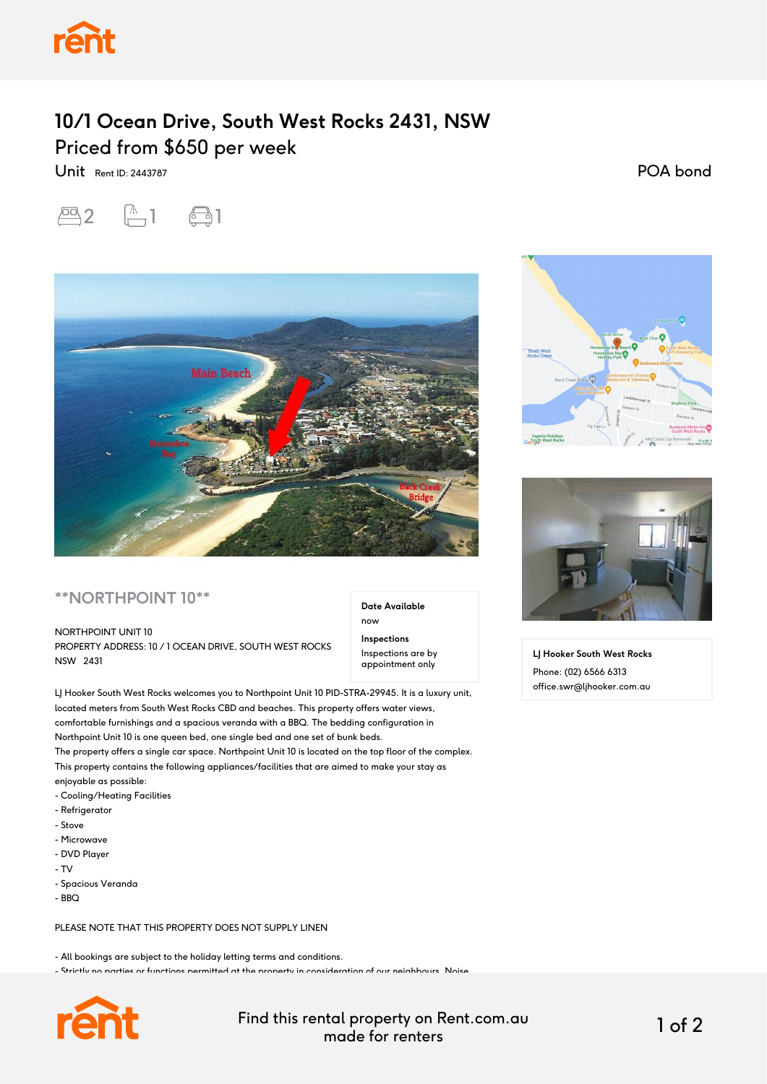

## **10/1 Ocean Drive, South West Rocks 2431, NSW** Priced from \$650 per week

Unit Rent ID: 2443787

POA bond





## **\*\*NORTHPOINT 10\*\***

## NORTHPOINT UNIT 10

PROPERTY ADDRESS: 10 / 1 OCEAN DRIVE, SOUTH WEST ROCKS NSW 2431

LJ Hooker South West Rocks welcomes you to Northpoint Unit 10 PID-STRA-29945. It is a luxury unit, located meters from South West Rocks CBD and beaches. This property offers water views, comfortable furnishings and a spacious veranda with a BBQ. The bedding configuration in Northpoint Unit 10 is one queen bed, one single bed and one set of bunk beds. The property offers a single car space. Northpoint Unit 10 is located on the top floor of the complex. This property contains the following appliances/facilities that are aimed to make your stay as

enjoyable as possible:

- Cooling/Heating Facilities
- Refrigerator
- Stove
- Microwave
- DVD Player
- TV
- Spacious Veranda
- $-BBO$

PLEASE NOTE THAT THIS PROPERTY DOES NOT SUPPLY LINEN

- All bookings are subject to the holiday letting terms and conditions.

- Strictly no parties or functions permitted at the property in consideration of our neighbours. Noise



Find this rental property on Rent.com.au made for renters 1 of 2

**Date Available**

now **Inspections** Inspections are by appointment only





**LJ Hooker South West Rocks** Phone: (02) 6566 6313 office.swr@ljhooker.com.au